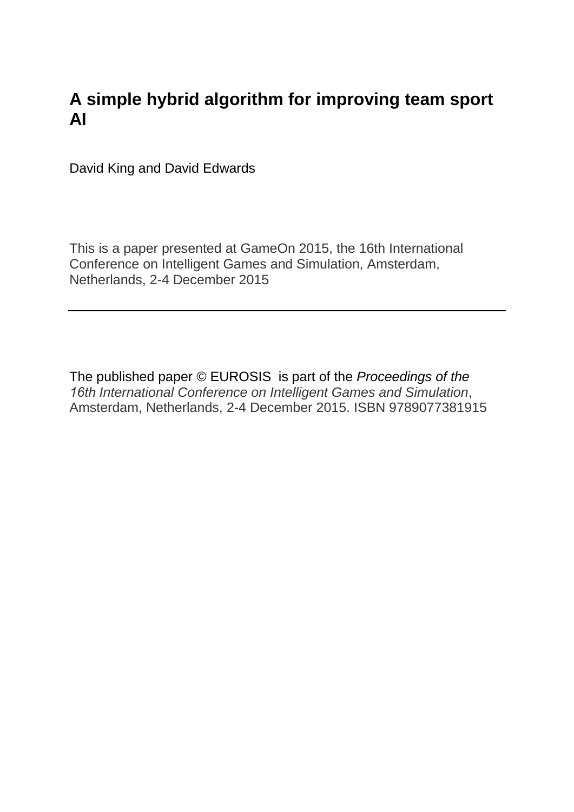# **A simple hybrid algorithm for improving team sport AI**

David King and David Edwards

This is a paper presented at GameOn 2015, the 16th International Conference on Intelligent Games and Simulation, Amsterdam, Netherlands, 2-4 December 2015

The published paper © EUROSIS is part of the *Proceedings of the 16th International Conference on Intelligent Games and Simulation*, Amsterdam, Netherlands, 2-4 December 2015. ISBN 9789077381915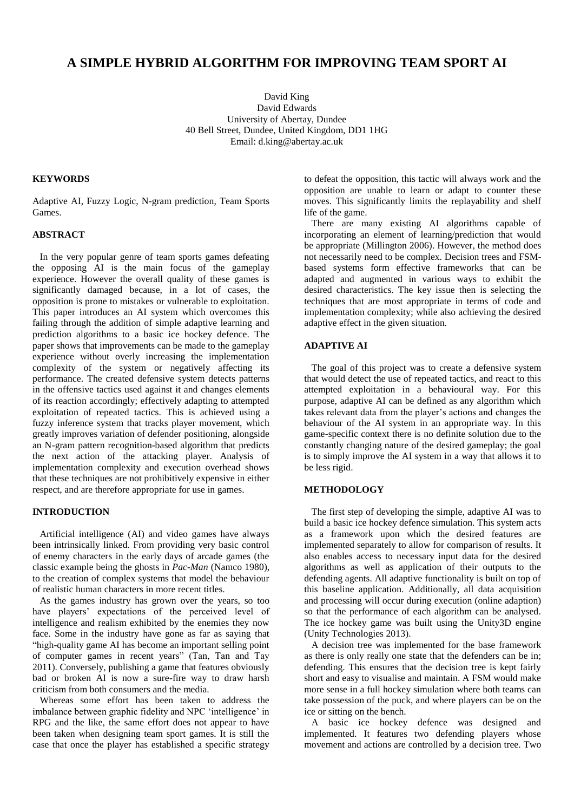# **A SIMPLE HYBRID ALGORITHM FOR IMPROVING TEAM SPORT AI**

David King David Edwards University of Abertay, Dundee 40 Bell Street, Dundee, United Kingdom, DD1 1HG Email: d.king@abertay.ac.uk

#### **KEYWORDS**

Adaptive AI, Fuzzy Logic, N-gram prediction, Team Sports Games.

# **ABSTRACT**

 In the very popular genre of team sports games defeating the opposing AI is the main focus of the gameplay experience. However the overall quality of these games is significantly damaged because, in a lot of cases, the opposition is prone to mistakes or vulnerable to exploitation. This paper introduces an AI system which overcomes this failing through the addition of simple adaptive learning and prediction algorithms to a basic ice hockey defence. The paper shows that improvements can be made to the gameplay experience without overly increasing the implementation complexity of the system or negatively affecting its performance. The created defensive system detects patterns in the offensive tactics used against it and changes elements of its reaction accordingly; effectively adapting to attempted exploitation of repeated tactics. This is achieved using a fuzzy inference system that tracks player movement, which greatly improves variation of defender positioning, alongside an N-gram pattern recognition-based algorithm that predicts the next action of the attacking player. Analysis of implementation complexity and execution overhead shows that these techniques are not prohibitively expensive in either respect, and are therefore appropriate for use in games.

# **INTRODUCTION**

 Artificial intelligence (AI) and video games have always been intrinsically linked. From providing very basic control of enemy characters in the early days of arcade games (the classic example being the ghosts in *Pac-Man* (Namco 1980), to the creation of complex systems that model the behaviour of realistic human characters in more recent titles.

 As the games industry has grown over the years, so too have players' expectations of the perceived level of intelligence and realism exhibited by the enemies they now face. Some in the industry have gone as far as saying that "high-quality game AI has become an important selling point of computer games in recent years" (Tan, Tan and Tay 2011). Conversely, publishing a game that features obviously bad or broken AI is now a sure-fire way to draw harsh criticism from both consumers and the media.

 Whereas some effort has been taken to address the imbalance between graphic fidelity and NPC 'intelligence' in RPG and the like, the same effort does not appear to have been taken when designing team sport games. It is still the case that once the player has established a specific strategy

to defeat the opposition, this tactic will always work and the opposition are unable to learn or adapt to counter these moves. This significantly limits the replayability and shelf life of the game.

 There are many existing AI algorithms capable of incorporating an element of learning/prediction that would be appropriate (Millington 2006). However, the method does not necessarily need to be complex. Decision trees and FSMbased systems form effective frameworks that can be adapted and augmented in various ways to exhibit the desired characteristics. The key issue then is selecting the techniques that are most appropriate in terms of code and implementation complexity; while also achieving the desired adaptive effect in the given situation.

# **ADAPTIVE AI**

 The goal of this project was to create a defensive system that would detect the use of repeated tactics, and react to this attempted exploitation in a behavioural way. For this purpose, adaptive AI can be defined as any algorithm which takes relevant data from the player's actions and changes the behaviour of the AI system in an appropriate way. In this game-specific context there is no definite solution due to the constantly changing nature of the desired gameplay; the goal is to simply improve the AI system in a way that allows it to be less rigid.

#### **METHODOLOGY**

 The first step of developing the simple, adaptive AI was to build a basic ice hockey defence simulation. This system acts as a framework upon which the desired features are implemented separately to allow for comparison of results. It also enables access to necessary input data for the desired algorithms as well as application of their outputs to the defending agents. All adaptive functionality is built on top of this baseline application. Additionally, all data acquisition and processing will occur during execution (online adaption) so that the performance of each algorithm can be analysed. The ice hockey game was built using the Unity3D engine (Unity Technologies 2013).

 A decision tree was implemented for the base framework as there is only really one state that the defenders can be in; defending. This ensures that the decision tree is kept fairly short and easy to visualise and maintain. A FSM would make more sense in a full hockey simulation where both teams can take possession of the puck, and where players can be on the ice or sitting on the bench.

 A basic ice hockey defence was designed and implemented. It features two defending players whose movement and actions are controlled by a decision tree. Two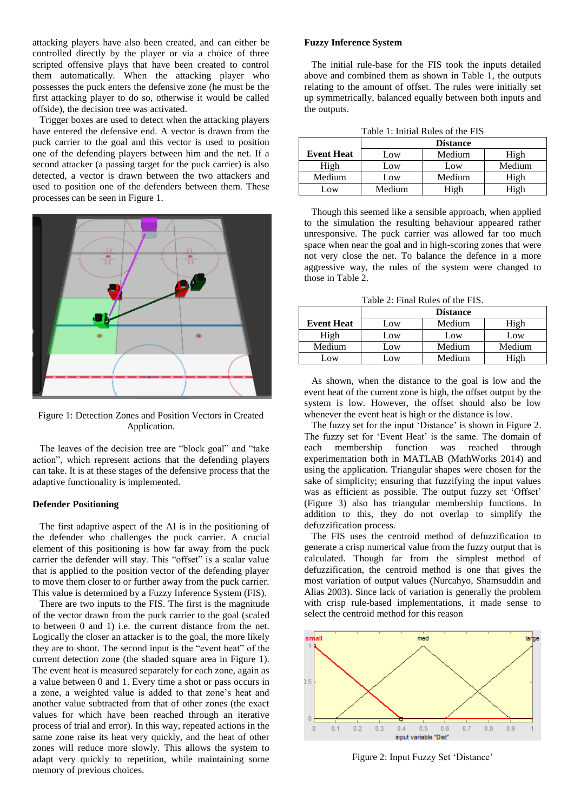attacking players have also been created, and can either be controlled directly by the player or via a choice of three scripted offensive plays that have been created to control them automatically. When the attacking player who possesses the puck enters the defensive zone (he must be the first attacking player to do so, otherwise it would be called offside), the decision tree was activated.

 Trigger boxes are used to detect when the attacking players have entered the defensive end. A vector is drawn from the puck carrier to the goal and this vector is used to position one of the defending players between him and the net. If a second attacker (a passing target for the puck carrier) is also detected, a vector is drawn between the two attackers and used to position one of the defenders between them. These processes can be seen in Figure 1.



Figure 1: Detection Zones and Position Vectors in Created Application.

 The leaves of the decision tree are "block goal" and "take action", which represent actions that the defending players can take. It is at these stages of the defensive process that the adaptive functionality is implemented.

#### **Defender Positioning**

 The first adaptive aspect of the AI is in the positioning of the defender who challenges the puck carrier. A crucial element of this positioning is how far away from the puck carrier the defender will stay. This "offset" is a scalar value that is applied to the position vector of the defending player to move them closer to or further away from the puck carrier. This value is determined by a Fuzzy Inference System (FIS).

 There are two inputs to the FIS. The first is the magnitude of the vector drawn from the puck carrier to the goal (scaled to between 0 and 1) i.e. the current distance from the net. Logically the closer an attacker is to the goal, the more likely they are to shoot. The second input is the "event heat" of the current detection zone (the shaded square area in Figure 1). The event heat is measured separately for each zone, again as a value between 0 and 1. Every time a shot or pass occurs in a zone, a weighted value is added to that zone's heat and another value subtracted from that of other zones (the exact values for which have been reached through an iterative process of trial and error). In this way, repeated actions in the same zone raise its heat very quickly, and the heat of other zones will reduce more slowly. This allows the system to adapt very quickly to repetition, while maintaining some memory of previous choices.

#### **Fuzzy Inference System**

 The initial rule-base for the FIS took the inputs detailed above and combined them as shown in Table 1, the outputs relating to the amount of offset. The rules were initially set up symmetrically, balanced equally between both inputs and the outputs.

|--|

|                   | <b>Distance</b> |        |        |
|-------------------|-----------------|--------|--------|
| <b>Event Heat</b> | Low             | Medium | High   |
| High              | Low             | Low    | Medium |
| Medium            | Low             | Medium | High   |
| Low               | Medium          | $\pi$  | High   |

 Though this seemed like a sensible approach, when applied to the simulation the resulting behaviour appeared rather unresponsive. The puck carrier was allowed far too much space when near the goal and in high-scoring zones that were not very close the net. To balance the defence in a more aggressive way, the rules of the system were changed to those in Table 2.

Table 2: Final Rules of the FIS.

|                   | <b>Distance</b> |        |        |
|-------------------|-----------------|--------|--------|
| <b>Event Heat</b> | Low             | Medium | High   |
| High              | Low             | Low    | Low    |
| Medium            | Low             | Medium | Medium |
| .ow               | ΛW              | Medium | High   |

 As shown, when the distance to the goal is low and the event heat of the current zone is high, the offset output by the system is low. However, the offset should also be low whenever the event heat is high or the distance is low.

 The fuzzy set for the input 'Distance' is shown in Figure 2. The fuzzy set for 'Event Heat' is the same. The domain of each membership function was reached through experimentation both in MATLAB (MathWorks 2014) and using the application. Triangular shapes were chosen for the sake of simplicity; ensuring that fuzzifying the input values was as efficient as possible. The output fuzzy set 'Offset' (Figure 3) also has triangular membership functions. In addition to this, they do not overlap to simplify the defuzzification process.

 The FIS uses the centroid method of defuzzification to generate a crisp numerical value from the fuzzy output that is calculated. Though far from the simplest method of defuzzification, the centroid method is one that gives the most variation of output values (Nurcahyo, Shamsuddin and Alias 2003). Since lack of variation is generally the problem with crisp rule-based implementations, it made sense to select the centroid method for this reason



Figure 2: Input Fuzzy Set 'Distance'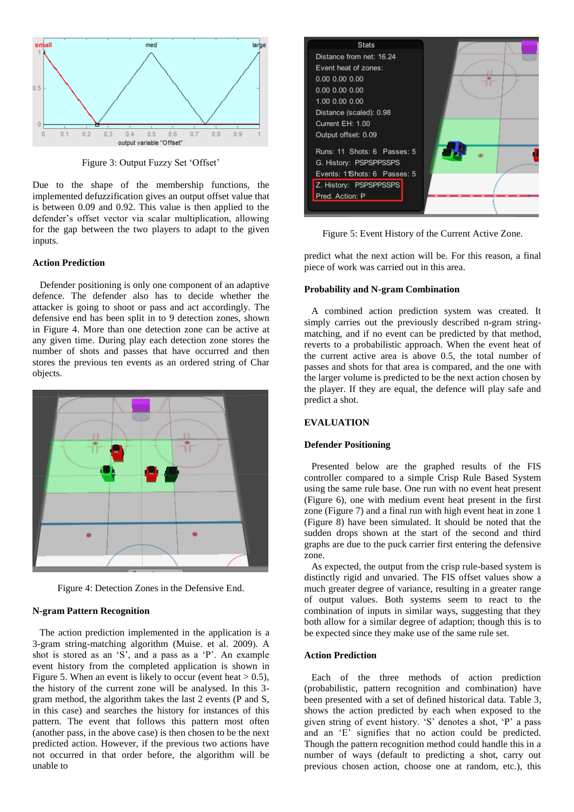

Figure 3: Output Fuzzy Set 'Offset'

Due to the shape of the membership functions, the implemented defuzzification gives an output offset value that is between 0.09 and 0.92. This value is then applied to the defender's offset vector via scalar multiplication, allowing for the gap between the two players to adapt to the given inputs.

#### **Action Prediction**

 Defender positioning is only one component of an adaptive defence. The defender also has to decide whether the attacker is going to shoot or pass and act accordingly. The defensive end has been split in to 9 detection zones, shown in Figure 4. More than one detection zone can be active at any given time. During play each detection zone stores the number of shots and passes that have occurred and then stores the previous ten events as an ordered string of Char objects.



Figure 4: Detection Zones in the Defensive End.

#### **N-gram Pattern Recognition**

 The action prediction implemented in the application is a 3-gram string-matching algorithm (Muise. et al. 2009). A shot is stored as an 'S', and a pass as a 'P'. An example event history from the completed application is shown in Figure 5. When an event is likely to occur (event heat  $> 0.5$ ), the history of the current zone will be analysed. In this 3 gram method, the algorithm takes the last 2 events (P and S, in this case) and searches the history for instances of this pattern. The event that follows this pattern most often (another pass, in the above case) is then chosen to be the next predicted action. However, if the previous two actions have not occurred in that order before, the algorithm will be unable to



Figure 5: Event History of the Current Active Zone.

predict what the next action will be. For this reason, a final piece of work was carried out in this area.

#### **Probability and N-gram Combination**

 A combined action prediction system was created. It simply carries out the previously described n-gram stringmatching, and if no event can be predicted by that method, reverts to a probabilistic approach. When the event heat of the current active area is above 0.5, the total number of passes and shots for that area is compared, and the one with the larger volume is predicted to be the next action chosen by the player. If they are equal, the defence will play safe and predict a shot.

#### **EVALUATION**

#### **Defender Positioning**

 Presented below are the graphed results of the FIS controller compared to a simple Crisp Rule Based System using the same rule base. One run with no event heat present (Figure 6), one with medium event heat present in the first zone (Figure 7) and a final run with high event heat in zone 1 (Figure 8) have been simulated. It should be noted that the sudden drops shown at the start of the second and third graphs are due to the puck carrier first entering the defensive zone.

 As expected, the output from the crisp rule-based system is distinctly rigid and unvaried. The FIS offset values show a much greater degree of variance, resulting in a greater range of output values. Both systems seem to react to the combination of inputs in similar ways, suggesting that they both allow for a similar degree of adaption; though this is to be expected since they make use of the same rule set.

#### **Action Prediction**

 Each of the three methods of action prediction (probabilistic, pattern recognition and combination) have been presented with a set of defined historical data. Table 3, shows the action predicted by each when exposed to the given string of event history. 'S' denotes a shot, 'P' a pass and an 'E' signifies that no action could be predicted. Though the pattern recognition method could handle this in a number of ways (default to predicting a shot, carry out previous chosen action, choose one at random, etc.), this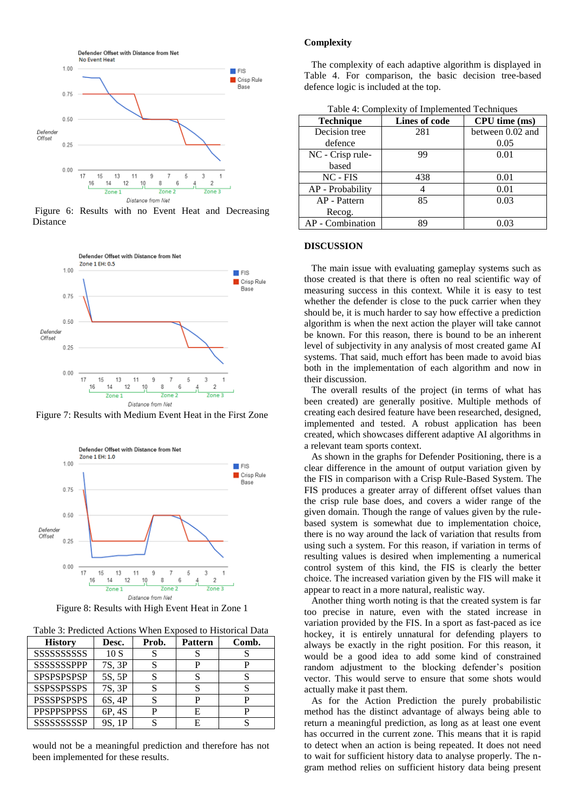

Figure 6: Results with no Event Heat and Decreasing Distance



Figure 7: Results with Medium Event Heat in the First Zone



Figure 8: Results with High Event Heat in Zone 1

Table 3: Predicted Actions When Exposed to Historical Data

| <b>History</b>     | Desc.  | Prob. | <b>Pattern</b> | Comb. |
|--------------------|--------|-------|----------------|-------|
|                    | 10S    |       |                |       |
| <b>SSSSSSSPPP</b>  | 7S, 3P |       |                |       |
| <b>SPSPSPSPSP</b>  | 5S, 5P |       |                |       |
| <b>SSPSSPSSPS</b>  | 7S, 3P |       |                |       |
| <b>PSSSPSPSPS</b>  | 6S, 4P |       |                |       |
| <b>PPSPPSPPSS</b>  | 6P, 4S |       | E              |       |
| <b>SSSSSSSSSSP</b> | 9S. 1P |       |                |       |

would not be a meaningful prediction and therefore has not been implemented for these results.

#### **Complexity**

 The complexity of each adaptive algorithm is displayed in Table 4. For comparison, the basic decision tree-based defence logic is included at the top.

| <b>Technique</b> | Lines of code | CPU time (ms)    |
|------------------|---------------|------------------|
| Decision tree    | 281           | between 0.02 and |
| defence          |               | 0.05             |
| NC - Crisp rule- | 99            | 0.01             |
| based            |               |                  |
| $NC$ - $FIS$     | 438           | 0.01             |
| AP - Probability |               | 0.01             |
| AP - Pattern     | 85            | 0.03             |
| Recog.           |               |                  |
| AP - Combination | 89            |                  |

Table 4: Complexity of Implemented Techniques

#### **DISCUSSION**

 The main issue with evaluating gameplay systems such as those created is that there is often no real scientific way of measuring success in this context. While it is easy to test whether the defender is close to the puck carrier when they should be, it is much harder to say how effective a prediction algorithm is when the next action the player will take cannot be known. For this reason, there is bound to be an inherent level of subjectivity in any analysis of most created game AI systems. That said, much effort has been made to avoid bias both in the implementation of each algorithm and now in their discussion.

 The overall results of the project (in terms of what has been created) are generally positive. Multiple methods of creating each desired feature have been researched, designed, implemented and tested. A robust application has been created, which showcases different adaptive AI algorithms in a relevant team sports context.

 As shown in the graphs for Defender Positioning, there is a clear difference in the amount of output variation given by the FIS in comparison with a Crisp Rule-Based System. The FIS produces a greater array of different offset values than the crisp rule base does, and covers a wider range of the given domain. Though the range of values given by the rulebased system is somewhat due to implementation choice, there is no way around the lack of variation that results from using such a system. For this reason, if variation in terms of resulting values is desired when implementing a numerical control system of this kind, the FIS is clearly the better choice. The increased variation given by the FIS will make it appear to react in a more natural, realistic way.

 Another thing worth noting is that the created system is far too precise in nature, even with the stated increase in variation provided by the FIS. In a sport as fast-paced as ice hockey, it is entirely unnatural for defending players to always be exactly in the right position. For this reason, it would be a good idea to add some kind of constrained random adjustment to the blocking defender's position vector. This would serve to ensure that some shots would actually make it past them.

 As for the Action Prediction the purely probabilistic method has the distinct advantage of always being able to return a meaningful prediction, as long as at least one event has occurred in the current zone. This means that it is rapid to detect when an action is being repeated. It does not need to wait for sufficient history data to analyse properly. The ngram method relies on sufficient history data being present